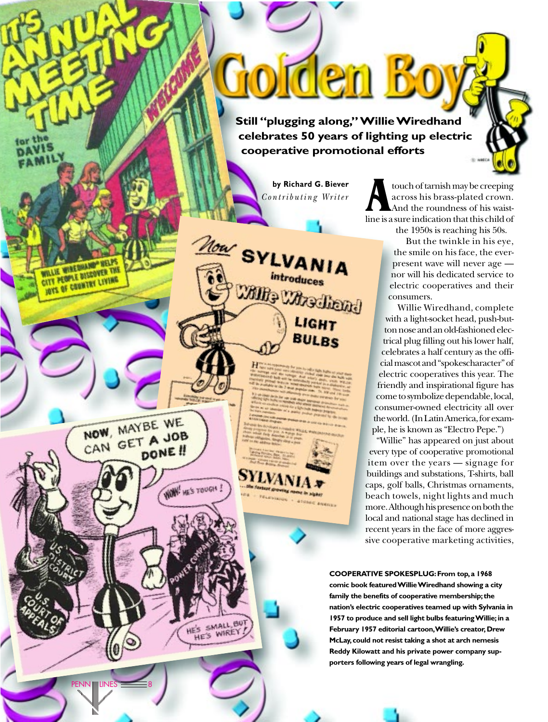**Still "plugging along," Willie Wiredhand celebrates 50 years of lighting up electric cooperative promotional efforts**

Golden Boj

**by Richard G. Biever** *Contributing Writer*

introduces

Willie Wie Thend

LIGHT

Now SYLVANIA

touch of tarnish may be creeping<br>across his brass-plated crown.<br>And the roundness of his waistacross his brass-plated crown. And the roundness of his waistline is a sure indication that this child of

the 1950s is reaching his 50s.

But the twinkle in his eye, the smile on his face, the everpresent wave will never age nor will his dedicated service to electric cooperatives and their consumers.

Willie Wiredhand, complete with a light-socket head, push-button nose and an old-fashioned electrical plug filling out his lower half, celebrates a half century as the official mascot and "spokescharacter" of electric cooperatives this year. The friendly and inspirational figure has come to symbolize dependable, local, consumer-owned electricity all over the world. (In Latin America, for example, he is known as "Electro Pepe.")

"Willie" has appeared on just about every type of cooperative promotional item over the years — signage for buildings and substations, T-shirts, ball caps, golf balls, Christmas ornaments, beach towels, night lights and much more. Although his presence on both the local and national stage has declined in recent years in the face of more aggressive cooperative marketing activities,

**COOPERATIVE SPOKESPLUG:From top,a 1968 comic book featured Willie Wiredhand showing a city** family the benefits of cooperative membership; the **nation's electric cooperatives teamed up with Sylvania in 1957 to produce and sell light bulbs featuring Willie;in a February 1957 editorial cartoon,Willie's creator,Drew McLay,could not resist taking a shot at arch nemesis Reddy Kilowatt and his private power company supporters following years of legal wrangling.**

 $PENN$   $\blacksquare$  LINES  $\blacksquare$  8

NOW, MAYBE WE CAN GET A JOB

DONE !!

**WON'** HE'S TOUGH!

ES SMALL BUT

**WILLIE WIRE DISCOVER THE** 

**JOYS OF COUNTRY LIVING**